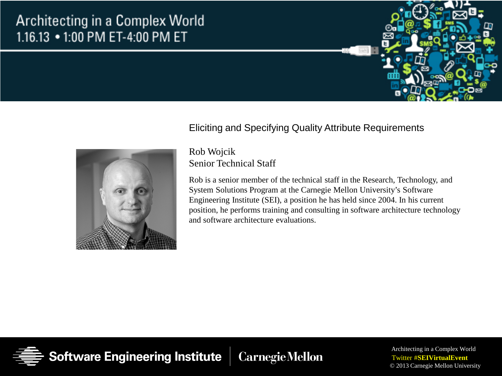### Architecting in a Complex World 1.16.13 • 1:00 PM ET-4:00 PM ET





#### Eliciting and Specifying Quality Attribute Requirements

#### Rob Wojcik Senior Technical Staff

Rob is a senior member of the technical staff in the Research, Technology, and System Solutions Program at the Carnegie Mellon University's Software Engineering Institute (SEI), a position he has held since 2004. In his current position, he performs training and consulting in software architecture technology and software architecture evaluations.

Software Engineering Institute **CarnegieMellon**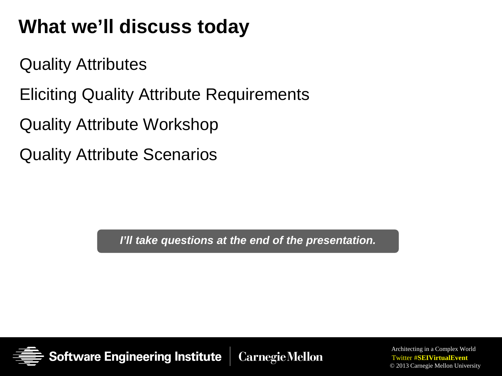### **What we'll discuss today**

Quality Attributes

Eliciting Quality Attribute Requirements

Quality Attribute Workshop

Quality Attribute Scenarios

*I'll take questions at the end of the presentation.*

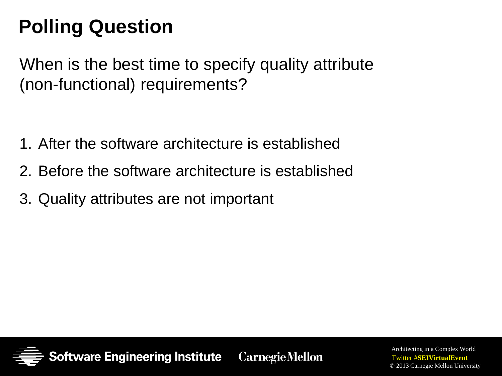# **Polling Question**

When is the best time to specify quality attribute (non-functional) requirements?

- 1. After the software architecture is established
- 2. Before the software architecture is established
- 3. Quality attributes are not important

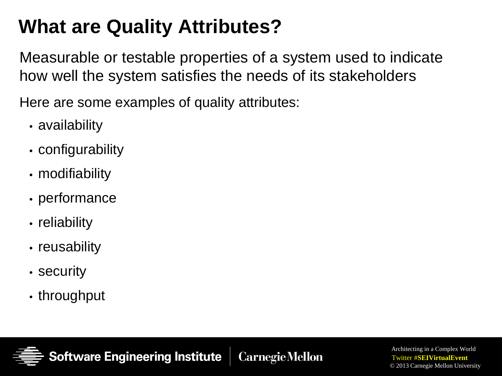### **What are Quality Attributes?**

Measurable or testable properties of a system used to indicate how well the system satisfies the needs of its stakeholders

Here are some examples of quality attributes:

- availability
- configurability
- modifiability
- performance
- reliability
- reusability
- security
- throughput

tware Engineering Institute **CarnegieMellon**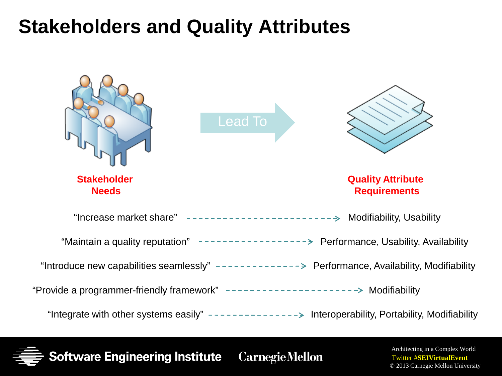### **Stakeholders and Quality Attributes**



Software Engineering Institute **CarnegieMellon**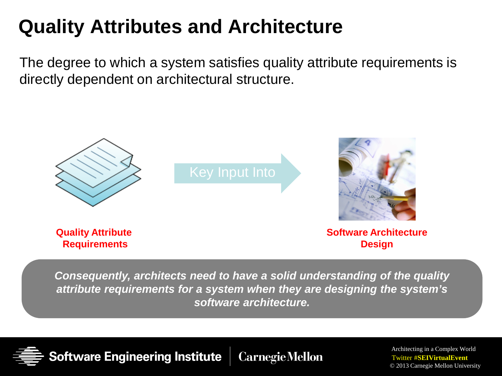### **Quality Attributes and Architecture**

The degree to which a system satisfies quality attribute requirements is directly dependent on architectural structure.



*Consequently, architects need to have a solid understanding of the quality attribute requirements for a system when they are designing the system's software architecture.*

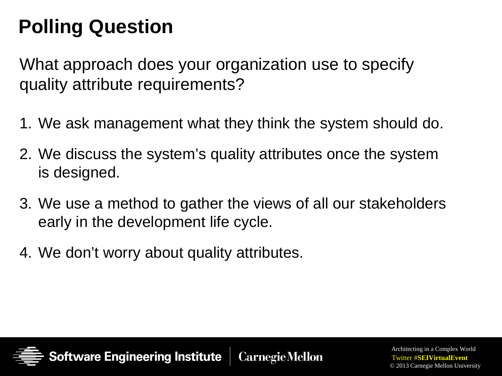# **Polling Question**

What approach does your organization use to specify quality attribute requirements?

- 1. We ask management what they think the system should do.
- 2. We discuss the system's quality attributes once the system is designed.
- 3. We use a method to gather the views of all our stakeholders early in the development life cycle.
- 4. We don't worry about quality attributes.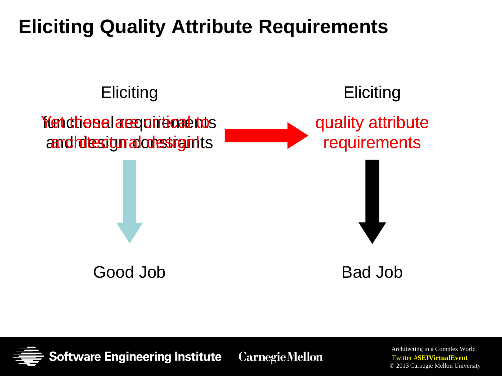### **Eliciting Quality Attribute Requirements**



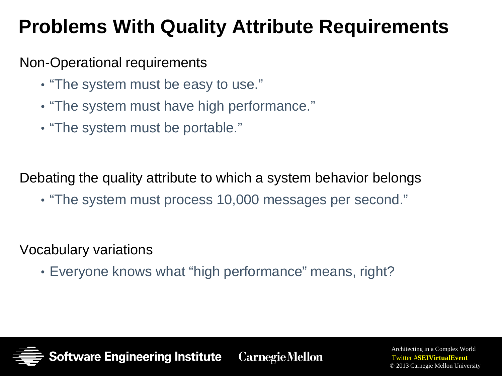### **Problems With Quality Attribute Requirements**

### Non-Operational requirements

- "The system must be easy to use."
- "The system must have high performance."
- "The system must be portable."

Debating the quality attribute to which a system behavior belongs

• "The system must process 10,000 messages per second."

Vocabulary variations

• Everyone knows what "high performance" means, right?

ware Engineering Institute **CarnegieMellon**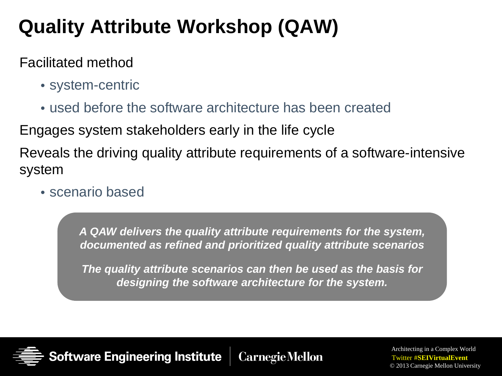# **Quality Attribute Workshop (QAW)**

#### Facilitated method

- system-centric
- used before the software architecture has been created

Engages system stakeholders early in the life cycle

Reveals the driving quality attribute requirements of a software-intensive system

• scenario based

*A QAW delivers the quality attribute requirements for the system, documented as refined and prioritized quality attribute scenarios*

*The quality attribute scenarios can then be used as the basis for designing the software architecture for the system.*

**Software Engineering Institute CarnegieMellon**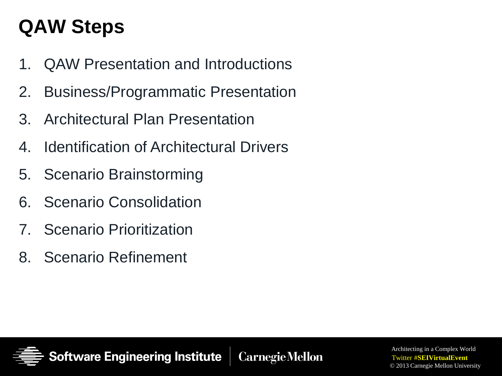### **QAW Steps**

- 1. QAW Presentation and Introductions
- 2. Business/Programmatic Presentation
- 3. Architectural Plan Presentation
- 4. Identification of Architectural Drivers
- 5. Scenario Brainstorming
- 6. Scenario Consolidation
- 7. Scenario Prioritization
- 8. Scenario Refinement

Software Engineering Institute **CarnegieMellon**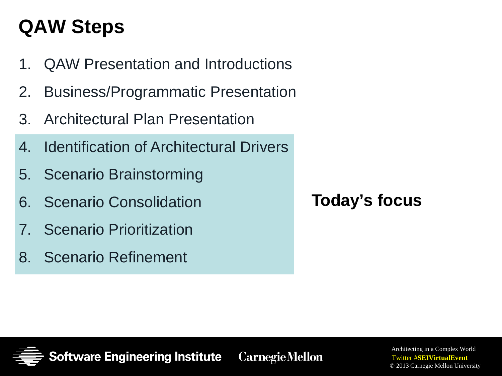### **QAW Steps**

- 1. QAW Presentation and Introductions
- 2. Business/Programmatic Presentation
- 3. Architectural Plan Presentation
- 4. Identification of Architectural Drivers
- 5. Scenario Brainstorming
- 6. Scenario Consolidation
- 7. Scenario Prioritization
- 8. Scenario Refinement

**Today's focus**



**CarnegieMellon**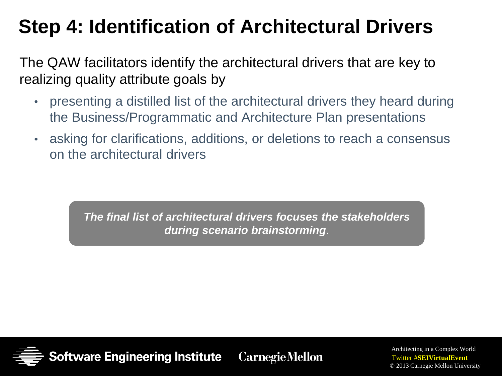# **Step 4: Identification of Architectural Drivers**

The QAW facilitators identify the architectural drivers that are key to realizing quality attribute goals by

- presenting a distilled list of the architectural drivers they heard during the Business/Programmatic and Architecture Plan presentations
- asking for clarifications, additions, or deletions to reach a consensus on the architectural drivers

*The final list of architectural drivers focuses the stakeholders during scenario brainstorming*.

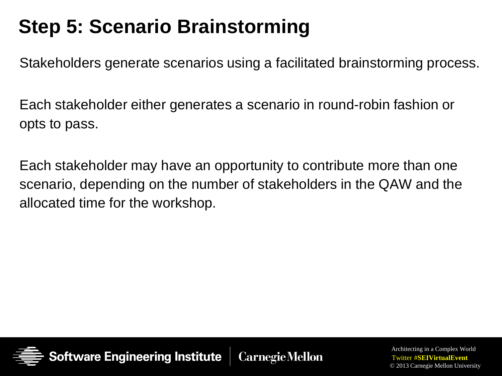# **Step 5: Scenario Brainstorming**

Stakeholders generate scenarios using a facilitated brainstorming process.

Each stakeholder either generates a scenario in round-robin fashion or opts to pass.

Each stakeholder may have an opportunity to contribute more than one scenario, depending on the number of stakeholders in the QAW and the allocated time for the workshop.

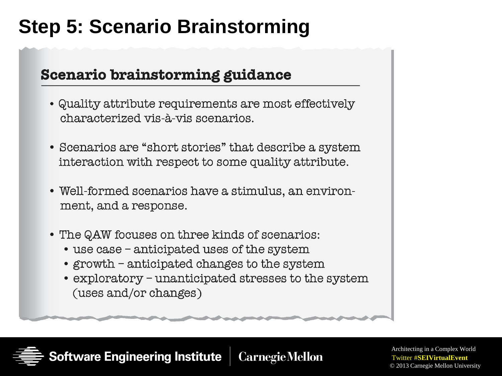### **Step 5: Scenario Brainstorming**

#### Scenario brainstorming guidance

- Quality attribute requirements are most effectively characterized vis-à-vis scenarios.
- Scenarios are "short stories" that describe a system interaction with respect to some quality attribute.
- Well-formed scenarios have a stimulus, an environment, and a response.
- The QAW focuses on three kinds of scenarios:
	- use case anticipated uses of the system
	- growth anticipated changes to the system
	- exploratory unanticipated stresses to the system (uses and/or changes)

**ftware Engineering Institute CarnegieMellon**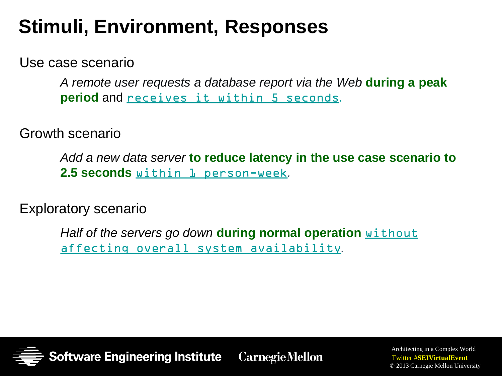### **Stimuli, Environment, Responses**

Use case scenario

*A remote user requests a database report via the Web* **during a peak period** and receives it within 5 seconds.

Growth scenario

*Add a new data server* **to reduce latency in the use case scenario to 2.5 seconds** within 1 person-week*.*

Exploratory scenario

*Half of the servers go down* **during normal operation** without affecting overall system availability*.*

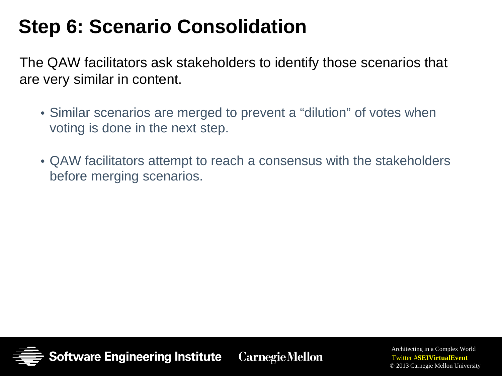### **Step 6: Scenario Consolidation**

The QAW facilitators ask stakeholders to identify those scenarios that are very similar in content.

- Similar scenarios are merged to prevent a "dilution" of votes when voting is done in the next step.
- QAW facilitators attempt to reach a consensus with the stakeholders before merging scenarios.

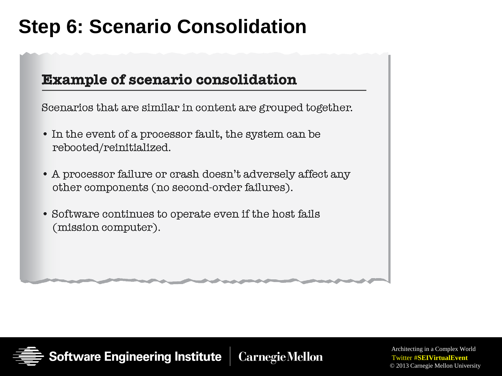### **Step 6: Scenario Consolidation**

#### **Example of scenario consolidation**

Scenarios that are similar in content are grouped together.

- In the event of a processor fault, the system can be rebooted/reinitialized.
- A processor failure or crash doesn't adversely affect any other components (no second-order failures).
- Software continues to operate even if the host fails (mission computer).

Software Engineering Institute **CarnegieMellon**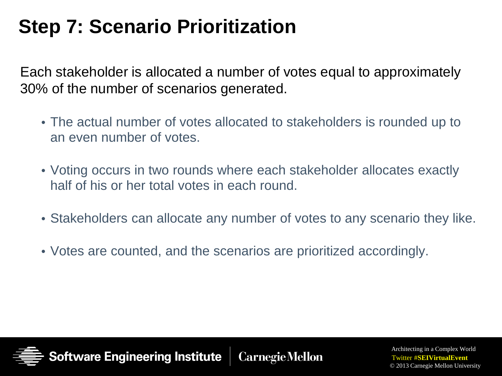### **Step 7: Scenario Prioritization**

Each stakeholder is allocated a number of votes equal to approximately 30% of the number of scenarios generated.

- The actual number of votes allocated to stakeholders is rounded up to an even number of votes.
- Voting occurs in two rounds where each stakeholder allocates exactly half of his or her total votes in each round.
- Stakeholders can allocate any number of votes to any scenario they like.
- Votes are counted, and the scenarios are prioritized accordingly.

Software Engineering Institute **CarnegieMellon**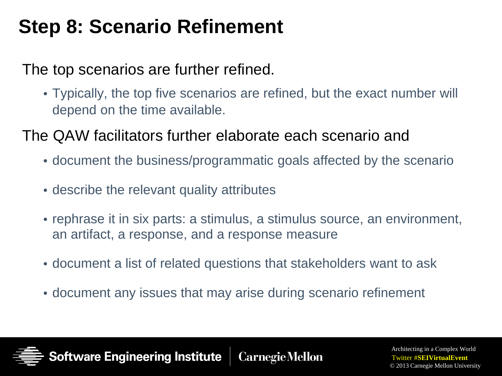### **Step 8: Scenario Refinement**

### The top scenarios are further refined.

• Typically, the top five scenarios are refined, but the exact number will depend on the time available.

The QAW facilitators further elaborate each scenario and

- document the business/programmatic goals affected by the scenario
- describe the relevant quality attributes
- rephrase it in six parts: a stimulus, a stimulus source, an environment, an artifact, a response, and a response measure
- document a list of related questions that stakeholders want to ask
- document any issues that may arise during scenario refinement

**ftware Engineering Institute CarnegieMellon**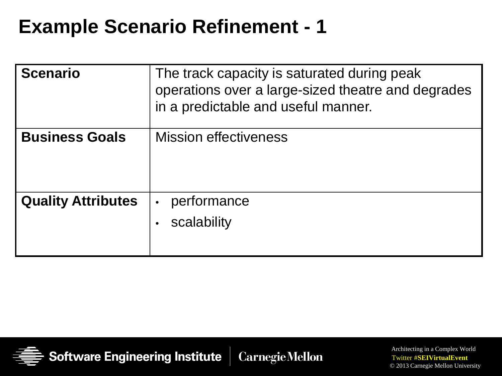| <b>Scenario</b>           | The track capacity is saturated during peak<br>operations over a large-sized theatre and degrades<br>in a predictable and useful manner. |
|---------------------------|------------------------------------------------------------------------------------------------------------------------------------------|
| <b>Business Goals</b>     | <b>Mission effectiveness</b>                                                                                                             |
| <b>Quality Attributes</b> | performance<br>$\bullet$<br>scalability                                                                                                  |

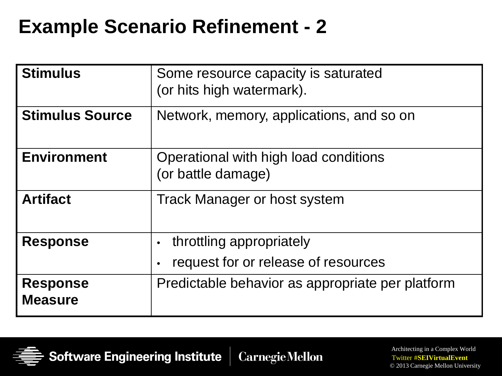| <b>Stimulus</b>                   | Some resource capacity is saturated<br>(or hits high watermark). |
|-----------------------------------|------------------------------------------------------------------|
| <b>Stimulus Source</b>            | Network, memory, applications, and so on                         |
| <b>Environment</b>                | Operational with high load conditions<br>(or battle damage)      |
| <b>Artifact</b>                   | <b>Track Manager or host system</b>                              |
| <b>Response</b>                   | throttling appropriately                                         |
|                                   | request for or release of resources                              |
| <b>Response</b><br><b>Measure</b> | Predictable behavior as appropriate per platform                 |

**Software Engineering Institute Carnegie Mellon**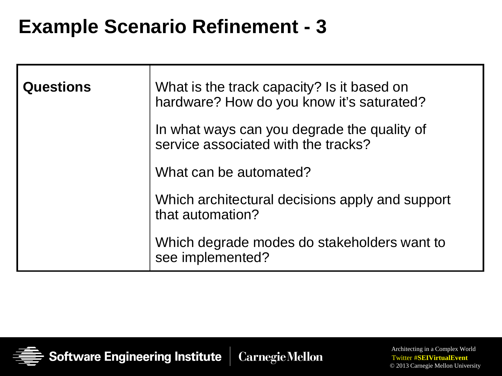| <b>Questions</b> | What is the track capacity? Is it based on<br>hardware? How do you know it's saturated? |
|------------------|-----------------------------------------------------------------------------------------|
|                  | In what ways can you degrade the quality of<br>service associated with the tracks?      |
|                  | What can be automated?                                                                  |
|                  | Which architectural decisions apply and support<br>that automation?                     |
|                  | Which degrade modes do stakeholders want to<br>see implemented?                         |

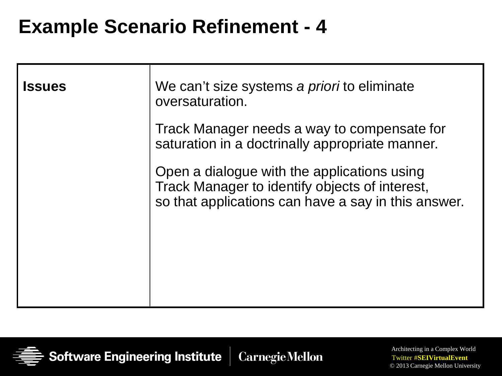| <b>Issues</b> | We can't size systems a <i>priori</i> to eliminate<br>oversaturation.                                                                                |
|---------------|------------------------------------------------------------------------------------------------------------------------------------------------------|
|               | Track Manager needs a way to compensate for<br>saturation in a doctrinally appropriate manner.                                                       |
|               | Open a dialogue with the applications using<br>Track Manager to identify objects of interest,<br>so that applications can have a say in this answer. |

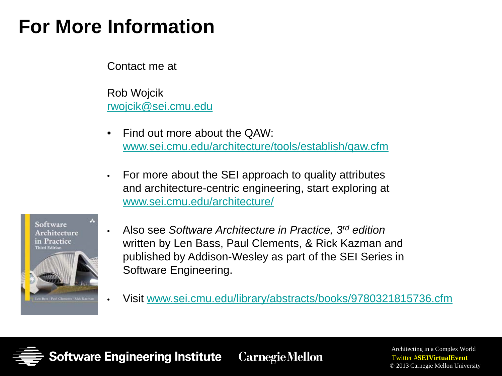### **For More Information**

Contact me at

Rob Wojcik [rwojcik@sei.cmu.edu](mailto:rwojcik@sei.cmu.edu)

- Find out more about the QAW: [www.sei.cmu.edu/architecture/tools/establish/qaw.cfm](http://www.sei.cmu.edu/architecture/tools/establish/qaw.cfm)
- For more about the SEI approach to quality attributes and architecture-centric engineering, start exploring at [www.sei.cmu.edu/architecture/](http://www.sei.cmu.edu/architecture/)



- Also see *Software Architecture in Practice, 3rd edition* written by Len Bass, Paul Clements, & Rick Kazman and published by Addison-Wesley as part of the SEI Series in Software Engineering.
- Visit [www.sei.cmu.edu/library/abstracts/books/9780321815736.cfm](http://www.sei.cmu.edu/library/abstracts/books/9780321815736.cfm)

Software Engineering Institute **CarnegieMellon**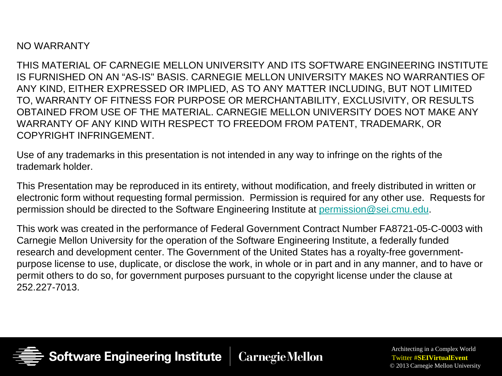NO WARRANTY

THIS MATERIAL OF CARNEGIE MELLON UNIVERSITY AND ITS SOFTWARE ENGINEERING INSTITUTE IS FURNISHED ON AN "AS-IS" BASIS. CARNEGIE MELLON UNIVERSITY MAKES NO WARRANTIES OF ANY KIND, EITHER EXPRESSED OR IMPLIED, AS TO ANY MATTER INCLUDING, BUT NOT LIMITED TO, WARRANTY OF FITNESS FOR PURPOSE OR MERCHANTABILITY, EXCLUSIVITY, OR RESULTS OBTAINED FROM USE OF THE MATERIAL. CARNEGIE MELLON UNIVERSITY DOES NOT MAKE ANY WARRANTY OF ANY KIND WITH RESPECT TO FREEDOM FROM PATENT, TRADEMARK, OR COPYRIGHT INFRINGEMENT.

Use of any trademarks in this presentation is not intended in any way to infringe on the rights of the trademark holder.

This Presentation may be reproduced in its entirety, without modification, and freely distributed in written or electronic form without requesting formal permission. Permission is required for any other use. Requests for permission should be directed to the Software Engineering Institute at [permission@sei.cmu.edu.](mailto:permission@sei.cmu.edu)

This work was created in the performance of Federal Government Contract Number FA8721-05-C-0003 with Carnegie Mellon University for the operation of the Software Engineering Institute, a federally funded research and development center. The Government of the United States has a royalty-free governmentpurpose license to use, duplicate, or disclose the work, in whole or in part and in any manner, and to have or permit others to do so, for government purposes pursuant to the copyright license under the clause at 252.227-7013.